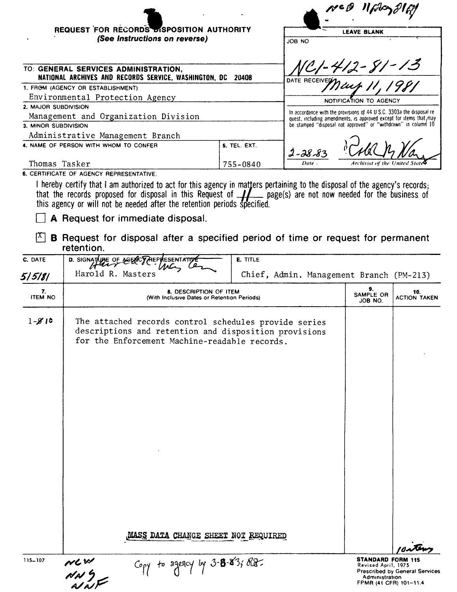| REQUEST FOR RECORDS BISPOSITION AUTHORITY                                                     |              |                                                                                                                                              |
|-----------------------------------------------------------------------------------------------|--------------|----------------------------------------------------------------------------------------------------------------------------------------------|
| (See Instructions on reverse)                                                                 |              | <b>LEAVE BLANK</b><br>JOB NO                                                                                                                 |
| TO: GENERAL SERVICES ADMINISTRATION,<br>NATIONAL ARCHIVES AND RECORDS SERVICE, WASHINGTON, DC | 20408        | ICI-412-81-13<br>DATE RECEIVED 1                                                                                                             |
| 1. FROM (AGENCY OR ESTABLISHMENT)                                                             |              | Icuh                                                                                                                                         |
| Environmental Protection Agency                                                               |              | NOTIFICATION TO AGENCY                                                                                                                       |
| 2. MAJOR SUBDIVISION                                                                          |              |                                                                                                                                              |
| Management and Organization Division                                                          |              | In accordance with the provisions of 44 U.S.C. 3303a the disposal re-<br>quest, including amendments, is approved except for items that, may |
| 3. MINOR SUBDIVISION                                                                          |              | be stamped "disposal not approved" or "withdrawn" in column 10                                                                               |
| Administrative Management Branch                                                              |              |                                                                                                                                              |
| 4. NAME OF PERSON WITH WHOM TO CONFER                                                         | 5. TEL. EXT. | $2 - 28 - 83$                                                                                                                                |
| Thomas Tasker                                                                                 | 755-0840     | <b>Archivist of the United State</b><br>Date                                                                                                 |
| <b>6. CERTIFICATE OF AGENCY REPRESENTATIVE.</b>                                               |              |                                                                                                                                              |

I hereby certify that I am authorized to act for this agency in matters pertaining to the disposal of the agency's records;<br>that the records proposed for disposal in this Request of  $\frac{1}{\sqrt{2}}$  page(s) are not now needed

 $\Box$  A Request for immediate disposal.

 $\mathbb{X}$  **B** Request for disposal after a specified period of time or request for permanent retention.

| C. DATE              | D. SIGNATURE OF AGENCY<br>RESENTATI<br>MC                                                                                                                       | E. TITLE                                 |                                                                                             |                                       |
|----------------------|-----------------------------------------------------------------------------------------------------------------------------------------------------------------|------------------------------------------|---------------------------------------------------------------------------------------------|---------------------------------------|
| 5   5   8            | Harold R. Masters                                                                                                                                               | Chief, Admin. Management Branch (PM-213) |                                                                                             |                                       |
| 7.<br><b>ITEM NO</b> | <b>8. DESCRIPTION OF ITEM</b><br>(With Inclusive Dates or Retention Periods)                                                                                    |                                          | 9.<br>SAMPLE OR<br>JOB NO.                                                                  | 10.<br><b>ACTION TAKEN</b>            |
| $1 - 810$            | The attached records control schedules provide series<br>descriptions and retention and disposition provisions<br>for the Enforcement Machine-readable records. |                                          |                                                                                             |                                       |
|                      | MASS DATA CHANGE SHEET NOT REQUIRED                                                                                                                             |                                          |                                                                                             |                                       |
| $115 - 107$          | Copy to squicy by $3 - 8 - 8 - 3$ ; Re-<br>NLW<br>NN G<br>NNF                                                                                                   |                                          | <b>STANDARD FORM 115</b><br>Revised April, 1975<br>Administration<br>FPMR (41 CFR) 101-11.4 | <b>Prescribed by General Services</b> |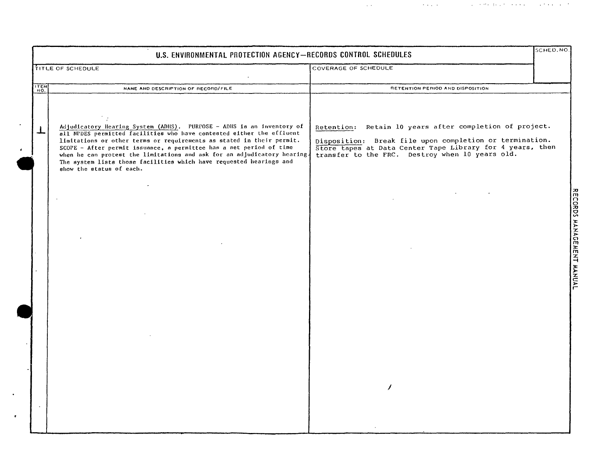|      | U.S. ENVIRONMENTAL PROTECTION AGENCY-RECORDS CONTROL SCHEDULES                                                                                                                                                                                                                                                                                                                                                                                                                |                                                                                                                                                                                                                                    | SCHED, NO |
|------|-------------------------------------------------------------------------------------------------------------------------------------------------------------------------------------------------------------------------------------------------------------------------------------------------------------------------------------------------------------------------------------------------------------------------------------------------------------------------------|------------------------------------------------------------------------------------------------------------------------------------------------------------------------------------------------------------------------------------|-----------|
|      | <b>TITLE OF SCHEDULE</b>                                                                                                                                                                                                                                                                                                                                                                                                                                                      | COVERAGE OF SCHEDULE                                                                                                                                                                                                               |           |
| ITEM | NAME AND DESCRIPTION OF RECORD/FILE                                                                                                                                                                                                                                                                                                                                                                                                                                           | RETENTION PERIOD AND DISPOSITION                                                                                                                                                                                                   |           |
| T    | Adjudicatory Hearing System (ADHS). PURPOSE - ADHS is an inventory of<br>all NPDES permitted facilities who have contested either the effluent<br>limitations or other terms or requirements as stated in their permit.<br>SCOPE - After permit issuance, a permittee has a set period of time<br>when he can protest the limitations and ask for an adjudicatory hearing.<br>The system lists those facilities which have requested hearings and<br>show the status of each. | Retention: Retain 10 years after completion of project.<br>Disposition: Break file upon completion or termination.<br>Store tapes at Data Center Tape Library for 4 years, then<br>transfer to the FRC. Destroy when 10 years old. |           |
|      |                                                                                                                                                                                                                                                                                                                                                                                                                                                                               |                                                                                                                                                                                                                                    |           |
|      |                                                                                                                                                                                                                                                                                                                                                                                                                                                                               |                                                                                                                                                                                                                                    |           |

 $\ddot{\phantom{0}}$ 

 $\pmb{\tau}$ 

 $\sim 10^{11}$  km  $^{-1}$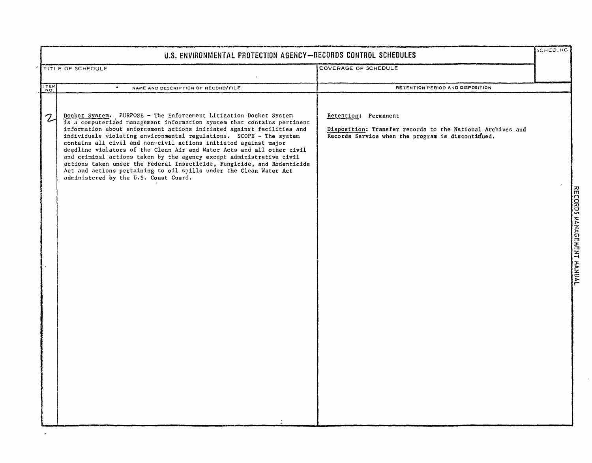|               | U.S. ENVIRONMENTAL PROTECTION AGENCY-RECORDS CONTROL SCHEDULES                                                                                                                                                                                                                                                                                                                                                                                                                                                                                                                                                                                                                                                |                                                                                                                                         |  |  |
|---------------|---------------------------------------------------------------------------------------------------------------------------------------------------------------------------------------------------------------------------------------------------------------------------------------------------------------------------------------------------------------------------------------------------------------------------------------------------------------------------------------------------------------------------------------------------------------------------------------------------------------------------------------------------------------------------------------------------------------|-----------------------------------------------------------------------------------------------------------------------------------------|--|--|
|               | TITLE OF SCHEDULE                                                                                                                                                                                                                                                                                                                                                                                                                                                                                                                                                                                                                                                                                             | COVERAGE OF SCHEDULE                                                                                                                    |  |  |
| <b>ITEM</b>   | ٠<br>NAME AND DESCRIPTION OF RECORD/FILE                                                                                                                                                                                                                                                                                                                                                                                                                                                                                                                                                                                                                                                                      | RETENTION PERIOD AND DISPOSITION                                                                                                        |  |  |
| $\mathcal{Z}$ | Docket System. PURPOSE - The Enforcement Litigation Docket System<br>is a computerized management information system that contains pertinent<br>information about enforcement actions initiated against facilities and<br>individuals violating environmental regulations. SCOPE - The system<br>contains all civil and non-civil actions initiated against major<br>deadline violators of the Clean Air and Water Acts and all other civil<br>and criminal actions taken by the agency except administrative civil<br>actions taken under the Federal Insecticide, Fungicide, and Rodenticide<br>Act and actions pertaining to oil spills under the Clean Water Act<br>administered by the U.S. Coast Guard. | Retention: Permanent<br>Disposition: Transfer records to the National Archives and<br>Records Service when the program is discontifued. |  |  |

 $\Delta$ 

 $\ddot{\phantom{a}}$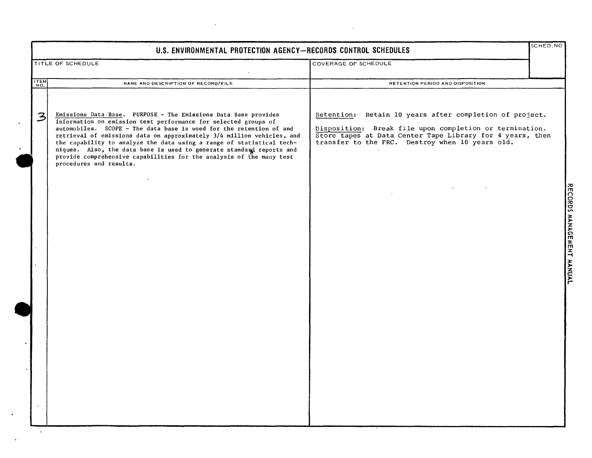|               | U.S. ENVIRONMENTAL PROTECTION AGENCY-RECORDS CONTROL SCHEDULES                                                                                                                                                                                                                                                                                                                                                                                                                                                                          |                                                                                                                                                                                                                                    | SCHED.NO |
|---------------|-----------------------------------------------------------------------------------------------------------------------------------------------------------------------------------------------------------------------------------------------------------------------------------------------------------------------------------------------------------------------------------------------------------------------------------------------------------------------------------------------------------------------------------------|------------------------------------------------------------------------------------------------------------------------------------------------------------------------------------------------------------------------------------|----------|
|               | TITLE OF SCHEDULE                                                                                                                                                                                                                                                                                                                                                                                                                                                                                                                       | COVERAGE OF SCHEDULE                                                                                                                                                                                                               |          |
| ITEM          | NAME AND DESCRIPTION OF RECORD/FILE                                                                                                                                                                                                                                                                                                                                                                                                                                                                                                     | RETENTION PERIOD AND DISPOSITION                                                                                                                                                                                                   |          |
| $\mathcal{Z}$ | Emissions Data Base. PURPOSE - The Emissions Data Base provides<br>information on emission test performance for selected groups of<br>automobiles. SCOPE - The data base is used for the retention of and<br>retrieval of emissions data on approximately 3/4 million vehicles, and<br>the capability to analyze the data using a range of statistical tech-<br>niques. Also, the data base is used to generate standard reports and<br>provide comprehensive capabilities for the analysis of the many test<br>procedures and results. | Retention: Retain 10 years after completion of project.<br>Disposition: Break file upon completion or termination.<br>Store tapes at Data Center Tape Library for 4 years, then<br>transfer to the FRC. Destroy when 10 years old. |          |
|               |                                                                                                                                                                                                                                                                                                                                                                                                                                                                                                                                         |                                                                                                                                                                                                                                    |          |
|               |                                                                                                                                                                                                                                                                                                                                                                                                                                                                                                                                         |                                                                                                                                                                                                                                    |          |
|               |                                                                                                                                                                                                                                                                                                                                                                                                                                                                                                                                         |                                                                                                                                                                                                                                    |          |
|               |                                                                                                                                                                                                                                                                                                                                                                                                                                                                                                                                         |                                                                                                                                                                                                                                    |          |
|               |                                                                                                                                                                                                                                                                                                                                                                                                                                                                                                                                         |                                                                                                                                                                                                                                    |          |
|               |                                                                                                                                                                                                                                                                                                                                                                                                                                                                                                                                         |                                                                                                                                                                                                                                    |          |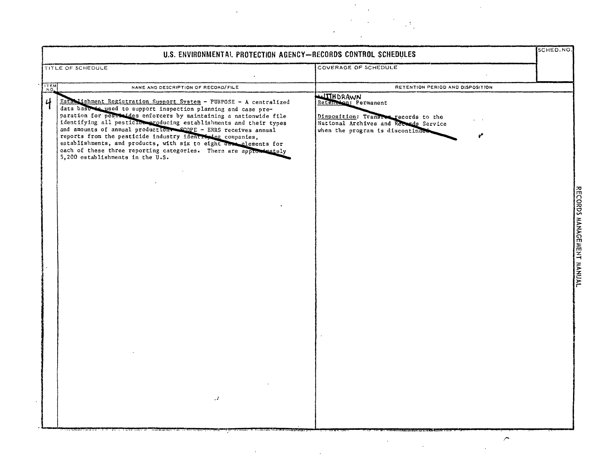|      | U.S. ENVIRONMENTAL PROTECTION AGENCY-RECORDS CONTROL SCHEDULES                                                                                                                                                                                                                                                                                                                                                                                                                                                                                                                                 |                                                                                                                                                              | SCHED, NO. |
|------|------------------------------------------------------------------------------------------------------------------------------------------------------------------------------------------------------------------------------------------------------------------------------------------------------------------------------------------------------------------------------------------------------------------------------------------------------------------------------------------------------------------------------------------------------------------------------------------------|--------------------------------------------------------------------------------------------------------------------------------------------------------------|------------|
|      | TITLE OF SCHEDULE                                                                                                                                                                                                                                                                                                                                                                                                                                                                                                                                                                              | COVERAGE OF SCHEDULE                                                                                                                                         |            |
| ITEM | NAME AND DESCRIPTION OF RECORD/FILE                                                                                                                                                                                                                                                                                                                                                                                                                                                                                                                                                            | RETENTION PERIOD AND DISPOSITION                                                                                                                             |            |
| 4    | Establishment Registration Support System - PURPOSE - A centralized<br>data base to used to support inspection planning and case pre-<br>paration for peschaldes enforcers by maintaining a nationwide file<br>identifying all pesticial producing establishments and their types<br>and amounts of annual production. SCOPE - ERRS receives annual<br>reports from the pesticide industry identifying companies,<br>establishments, and products, with six to eight das elements for<br>each of these three reporting categories. There are approximately<br>5,200 establishments in the U.S. | WITHDRAWN<br>Retenedan: Permanent<br>Disposition: Transfer records to the<br>National Archives and Records Service<br>when the program is discontinued<br>مړ |            |
|      | л.                                                                                                                                                                                                                                                                                                                                                                                                                                                                                                                                                                                             |                                                                                                                                                              |            |
|      |                                                                                                                                                                                                                                                                                                                                                                                                                                                                                                                                                                                                | ╭                                                                                                                                                            |            |

 $\label{eq:2} \mathcal{L} = \mathcal{L} \left( \mathcal{L} \right) \left( \mathcal{L} \right)$ 

 $\label{eq:2} \frac{1}{\sqrt{2}}\left(\frac{1}{\sqrt{2}}\right)^2\left(\frac{1}{\sqrt{2}}\right)^2.$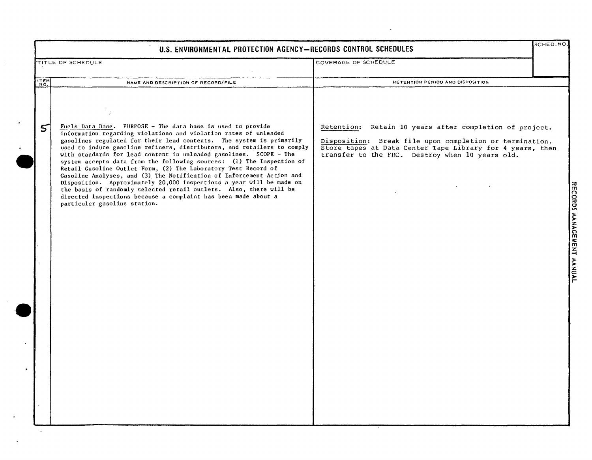|             | U.S. ENVIRONMENTAL PROTECTION AGENCY-RECORDS CONTROL SCHEDULES                                                                                                                                                                                                                                                                                                                                                                                                                                                                                                                                                                                                                                                                                                                                                               |                                                                                                                                                                                                                                    | SCHED.NO. |
|-------------|------------------------------------------------------------------------------------------------------------------------------------------------------------------------------------------------------------------------------------------------------------------------------------------------------------------------------------------------------------------------------------------------------------------------------------------------------------------------------------------------------------------------------------------------------------------------------------------------------------------------------------------------------------------------------------------------------------------------------------------------------------------------------------------------------------------------------|------------------------------------------------------------------------------------------------------------------------------------------------------------------------------------------------------------------------------------|-----------|
|             | TITLE OF SCHEDULE                                                                                                                                                                                                                                                                                                                                                                                                                                                                                                                                                                                                                                                                                                                                                                                                            | COVERAGE OF SCHEDULE                                                                                                                                                                                                               |           |
| <b>ITEM</b> | NAME AND DESCRIPTION OF RECORD/FILE                                                                                                                                                                                                                                                                                                                                                                                                                                                                                                                                                                                                                                                                                                                                                                                          | RETENTION PERIOD AND DISPOSITION                                                                                                                                                                                                   |           |
| 5           | Fuels Data Base. PURPOSE - The data base is used to provide<br>information regarding violations and violation rates of unleaded<br>gasolines regulated for their lead contents. The system is primarily<br>used to induce gasoline refiners, distributors, and retailers to comply<br>with standards for lead content in unleaded gasolines. SCOPE - The<br>system accepts data from the following sources: (1) The Inspection of<br>Retail Gasoline Outlet Form, (2) The Laboratory Test Record of<br>Gasoline Analyses, and (3) The Notification of Enforcement Action and<br>Disposition. Approximately 20,000 inspections a year will be made on<br>the basis of randomly selected retail outlets. Also, there will be<br>directed inspections because a complaint has been made about a<br>particular gasoline station. | Retention: Retain 10 years after completion of project.<br>Disposition: Break file upon completion or termination.<br>Store tapes at Data Center Tape Library for 4 years, then<br>transfer to the FRC. Destroy when 10 years old. |           |
|             |                                                                                                                                                                                                                                                                                                                                                                                                                                                                                                                                                                                                                                                                                                                                                                                                                              |                                                                                                                                                                                                                                    |           |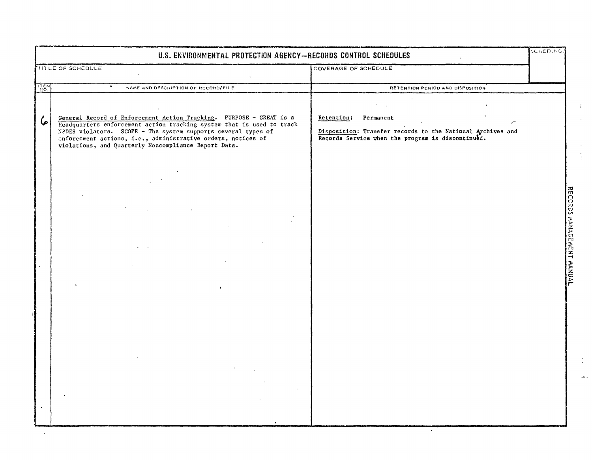|      | U.S. ENVIRONMENTAL PROTECTION AGENCY-RECORDS CONTROL SCHEDULES                                                                                                                                                                                                                                                                        |                                                                                                                                         | SCHED.NO.                 |
|------|---------------------------------------------------------------------------------------------------------------------------------------------------------------------------------------------------------------------------------------------------------------------------------------------------------------------------------------|-----------------------------------------------------------------------------------------------------------------------------------------|---------------------------|
|      | TITLE OF SCHEDULE                                                                                                                                                                                                                                                                                                                     | COVERAGE OF SCHEDULE                                                                                                                    |                           |
| ITEM | NAME AND DESCRIPTION OF RECORD/FILE                                                                                                                                                                                                                                                                                                   | RETENTION PERIOD AND DISPOSITION                                                                                                        |                           |
| 6    | General Record of Enforcement Action Tracking. PURPOSE - GREAT is a<br>Headquarters enforcement action tracking system that is used to track<br>NPDES violators. SCOPE - The system supports several types of<br>enforcement actions, i.e., administrative orders, notices of<br>violations, and Quarterly Noncompliance Report Data. | Retention:<br>Permanent<br>Disposition: Transfer records to the National Archives and Records Service when the program is discontinued. |                           |
|      |                                                                                                                                                                                                                                                                                                                                       |                                                                                                                                         | RECORDS MANAGEMENT MANUAL |

 $\mathcal{A}^{\pm}$  $\hat{\mathcal{E}}$ 

 $\begin{pmatrix} 1 \\ 1 \\ 1 \end{pmatrix}$ 

 $\frac{1}{2}$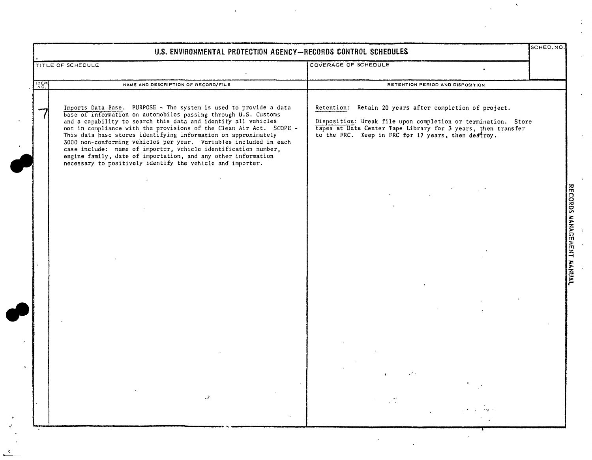|             | TITLE OF SCHEDULE                                                                                                                                                                                                                                                                                                                                                                                                                                                                                                                                                                                                     | COVERAGE OF SCHEDULE                                                                                                                                                                                                                            |
|-------------|-----------------------------------------------------------------------------------------------------------------------------------------------------------------------------------------------------------------------------------------------------------------------------------------------------------------------------------------------------------------------------------------------------------------------------------------------------------------------------------------------------------------------------------------------------------------------------------------------------------------------|-------------------------------------------------------------------------------------------------------------------------------------------------------------------------------------------------------------------------------------------------|
| <b>ITEM</b> | NAME AND DESCRIPTION OF RECORD/FILE                                                                                                                                                                                                                                                                                                                                                                                                                                                                                                                                                                                   | RETENTION PERIOD AND DISPOSITION                                                                                                                                                                                                                |
|             | Imports Data Base. PURPOSE - The system is used to provide a data<br>base of information on automobiles passing through U.S. Customs<br>and a capability to search this data and identify all vehicles<br>not in compliance with the provisions of the Clean Air Act. SCOPE -<br>This data base stores identifying information on approximately<br>3000 non-conforming vehicles per year. Variables included in each<br>case include: name of importer, vehicle identification number,<br>engine family, date of importation, and any other information<br>necessary to positively identify the vehicle and importer. | Retention: Retain 20 years after completion of project.<br>Disposition: Break file upon completion or termination. Store<br>tapes at Data Center Tape Library for 3 years, then transfer<br>to the FRC. Keep in FRC for 17 years, then destroy. |
|             |                                                                                                                                                                                                                                                                                                                                                                                                                                                                                                                                                                                                                       |                                                                                                                                                                                                                                                 |
|             |                                                                                                                                                                                                                                                                                                                                                                                                                                                                                                                                                                                                                       |                                                                                                                                                                                                                                                 |
|             |                                                                                                                                                                                                                                                                                                                                                                                                                                                                                                                                                                                                                       |                                                                                                                                                                                                                                                 |
|             |                                                                                                                                                                                                                                                                                                                                                                                                                                                                                                                                                                                                                       |                                                                                                                                                                                                                                                 |
|             |                                                                                                                                                                                                                                                                                                                                                                                                                                                                                                                                                                                                                       |                                                                                                                                                                                                                                                 |

 $\label{eq:2.1} \frac{1}{\sqrt{2}}\int_{\mathbb{R}^3}\left|\frac{d\mu}{d\mu}\right|^2\left|\frac{d\mu}{d\mu}\right|^2\left|\frac{d\mu}{d\mu}\right|^2\left|\frac{d\mu}{d\mu}\right|^2\left|\frac{d\mu}{d\mu}\right|^2\left|\frac{d\mu}{d\mu}\right|^2\left|\frac{d\mu}{d\mu}\right|^2.$ 

 $\frac{3}{2}$ 

 $\label{eq:2} \frac{1}{\sqrt{2}}\sum_{i=1}^N\frac{1}{\sqrt{2}}\sum_{i=1}^N\frac{1}{\sqrt{2}}\sum_{i=1}^N\frac{1}{\sqrt{2}}\sum_{i=1}^N\frac{1}{\sqrt{2}}\sum_{i=1}^N\frac{1}{\sqrt{2}}\sum_{i=1}^N\frac{1}{\sqrt{2}}\sum_{i=1}^N\frac{1}{\sqrt{2}}\sum_{i=1}^N\frac{1}{\sqrt{2}}\sum_{i=1}^N\frac{1}{\sqrt{2}}\sum_{i=1}^N\frac{1}{\sqrt{2}}\sum_{i=1}^N\frac{1$ 

 $\mathcal{L}_{\text{max}}$ 

 $\frac{1}{\sqrt{2}}\int_{0}^{\sqrt{2}}\frac{1}{\sqrt{2}}\left( \frac{1}{2}\right) ^{2}d\mu$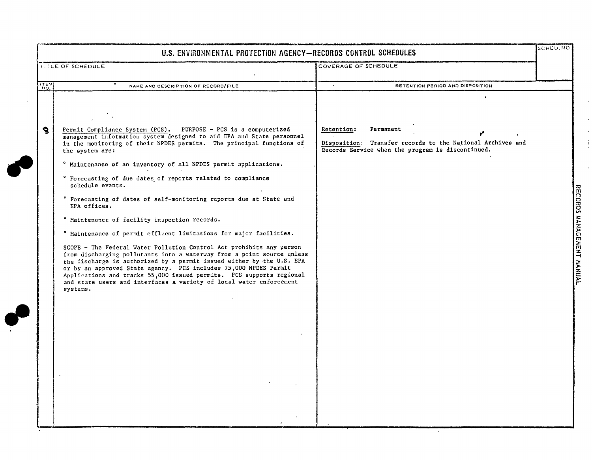| U.S. ENVIRONMENTAL PROTECTION AGENCY-RECORDS CONTROL SCHEDULES<br><b>INTLE OF SCHEDULE</b><br>COVERAGE OF SCHEDULE<br>ਾਲਾ<br>$\sim$<br>RETENTION PERIOD AND DISPOSITION<br>NAME AND DESCRIPTION OF RECORD/FILE<br>$\mathbf{S}$<br>Permit Compliance System (PCS). PURPOSE - PCS is a computerized<br>Retention:<br>Permanent<br>management information system designed to aid EPA and State personnel<br>Disposition: Transfer records to the National Archives and<br>in the monitoring of their NPDES permits. The principal functions of<br>Records Service when the program is discontinued.<br>the system are:<br>° Maintenance of an inventory of all NPDES permit applications.<br>* Forecasting of due dates of reports related to compliance<br>schedule events.<br>* Forecasting of dates of self-monitoring reports due at State and<br>EPA offices.<br>° Maintenance of facility inspection records.<br>° Maintenance of permit effluent limitations for major facilities.<br>SCOPE - The Federal Water Pollution Control Act prohibits any person<br>from discharging pollutants into a waterway from a point source unless<br>the discharge is authorized by a permit issued either by the U.S. EPA<br>or by an approved State agency. PCS includes 75,000 NPDES Permit<br>Applications and tracks 55,000 issued permits. PCS supports regional<br>and state users and interfaces a variety of local water enforcement<br>systems. |
|--------------------------------------------------------------------------------------------------------------------------------------------------------------------------------------------------------------------------------------------------------------------------------------------------------------------------------------------------------------------------------------------------------------------------------------------------------------------------------------------------------------------------------------------------------------------------------------------------------------------------------------------------------------------------------------------------------------------------------------------------------------------------------------------------------------------------------------------------------------------------------------------------------------------------------------------------------------------------------------------------------------------------------------------------------------------------------------------------------------------------------------------------------------------------------------------------------------------------------------------------------------------------------------------------------------------------------------------------------------------------------------------------------------------------------------------------|
|                                                                                                                                                                                                                                                                                                                                                                                                                                                                                                                                                                                                                                                                                                                                                                                                                                                                                                                                                                                                                                                                                                                                                                                                                                                                                                                                                                                                                                                  |
|                                                                                                                                                                                                                                                                                                                                                                                                                                                                                                                                                                                                                                                                                                                                                                                                                                                                                                                                                                                                                                                                                                                                                                                                                                                                                                                                                                                                                                                  |
|                                                                                                                                                                                                                                                                                                                                                                                                                                                                                                                                                                                                                                                                                                                                                                                                                                                                                                                                                                                                                                                                                                                                                                                                                                                                                                                                                                                                                                                  |

i.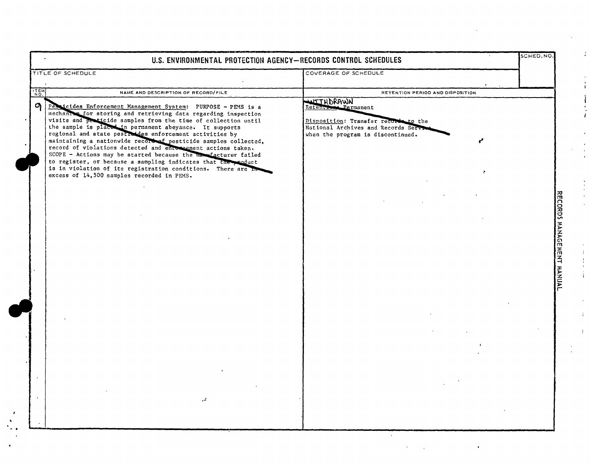|            | U.S. ENVIRONMENTAL PROTECTION AGENCY-RECORDS CONTROL SCHEDULES                                                                                                                                                                                                                                                                                                                                                                                                                                                                                                                                                                                                                                            |                                                                                                                                                                   | SCHED.NO.                 |
|------------|-----------------------------------------------------------------------------------------------------------------------------------------------------------------------------------------------------------------------------------------------------------------------------------------------------------------------------------------------------------------------------------------------------------------------------------------------------------------------------------------------------------------------------------------------------------------------------------------------------------------------------------------------------------------------------------------------------------|-------------------------------------------------------------------------------------------------------------------------------------------------------------------|---------------------------|
|            | TITLE OF SCHEDULE                                                                                                                                                                                                                                                                                                                                                                                                                                                                                                                                                                                                                                                                                         | COVERAGE OF SCHEDULE                                                                                                                                              |                           |
| <b>TEM</b> | NAME AND DESCRIPTION OF RECORD/FILE                                                                                                                                                                                                                                                                                                                                                                                                                                                                                                                                                                                                                                                                       | RETENTION PERIOD AND DISPOSITION                                                                                                                                  |                           |
| G          | Pessicides Enforcement Management System: PURPOSE - PEMS is a<br>mechanism for storing and retrieving data regarding inspection<br>visits and pericide samples from the time of collection until<br>the sample is placed in permanent abeyance. It supports<br>regional and state pesticides enforcement activities by<br>maintaining a nationwide record of pesticide samples collected,<br>record of violations detected and entomeement actions taken.<br>SCOPE - Actions may be started because the manufacturer failed<br>to register, or because a sampling indicates that the reduct<br>is in violation of its registration conditions. There are In<br>excess of 14,500 samples recorded in PEMS. | WITHDRAWN<br><b>ML</b> Permanent<br>Retenti<br>Disposition: Transfer records to the<br>National Archives and Records Service<br>when the program is discontinued. |                           |
|            |                                                                                                                                                                                                                                                                                                                                                                                                                                                                                                                                                                                                                                                                                                           |                                                                                                                                                                   |                           |
|            |                                                                                                                                                                                                                                                                                                                                                                                                                                                                                                                                                                                                                                                                                                           |                                                                                                                                                                   | RECORDS MANAGEMENT MANUAL |
|            |                                                                                                                                                                                                                                                                                                                                                                                                                                                                                                                                                                                                                                                                                                           |                                                                                                                                                                   |                           |
|            |                                                                                                                                                                                                                                                                                                                                                                                                                                                                                                                                                                                                                                                                                                           |                                                                                                                                                                   |                           |
|            |                                                                                                                                                                                                                                                                                                                                                                                                                                                                                                                                                                                                                                                                                                           |                                                                                                                                                                   |                           |
|            |                                                                                                                                                                                                                                                                                                                                                                                                                                                                                                                                                                                                                                                                                                           |                                                                                                                                                                   |                           |
|            |                                                                                                                                                                                                                                                                                                                                                                                                                                                                                                                                                                                                                                                                                                           |                                                                                                                                                                   |                           |
|            |                                                                                                                                                                                                                                                                                                                                                                                                                                                                                                                                                                                                                                                                                                           |                                                                                                                                                                   |                           |
|            |                                                                                                                                                                                                                                                                                                                                                                                                                                                                                                                                                                                                                                                                                                           |                                                                                                                                                                   |                           |
|            |                                                                                                                                                                                                                                                                                                                                                                                                                                                                                                                                                                                                                                                                                                           |                                                                                                                                                                   |                           |
|            |                                                                                                                                                                                                                                                                                                                                                                                                                                                                                                                                                                                                                                                                                                           |                                                                                                                                                                   |                           |
|            |                                                                                                                                                                                                                                                                                                                                                                                                                                                                                                                                                                                                                                                                                                           |                                                                                                                                                                   |                           |
|            |                                                                                                                                                                                                                                                                                                                                                                                                                                                                                                                                                                                                                                                                                                           |                                                                                                                                                                   |                           |
|            |                                                                                                                                                                                                                                                                                                                                                                                                                                                                                                                                                                                                                                                                                                           |                                                                                                                                                                   |                           |
|            |                                                                                                                                                                                                                                                                                                                                                                                                                                                                                                                                                                                                                                                                                                           |                                                                                                                                                                   |                           |
|            | $\cdot$                                                                                                                                                                                                                                                                                                                                                                                                                                                                                                                                                                                                                                                                                                   |                                                                                                                                                                   |                           |
|            |                                                                                                                                                                                                                                                                                                                                                                                                                                                                                                                                                                                                                                                                                                           |                                                                                                                                                                   |                           |
|            |                                                                                                                                                                                                                                                                                                                                                                                                                                                                                                                                                                                                                                                                                                           |                                                                                                                                                                   |                           |

 $\begin{array}{c} \mathbf{v} \\ \mathbf{v} \\ \mathbf{v} \\ \mathbf{v} \end{array}$ 

 $\mathcal{A}^{\text{max}}_{\text{max}}$ 

 $\mathcal{A}^{\mathcal{A}}$ 

 $\mathbb{R}^2$ 

 $\begin{array}{c} \begin{array}{c} \bullet \\ \bullet \\ \bullet \end{array} \\ \begin{array}{c} \bullet \\ \bullet \\ \bullet \end{array} \\ \begin{array}{c} \bullet \\ \bullet \\ \bullet \end{array} \\ \begin{array}{c} \bullet \\ \bullet \\ \bullet \end{array} \end{array}$ 

 $\begin{array}{c} \frac{1}{2} & \frac{1}{2} & \frac{1}{2} \\ \frac{1}{2} & \frac{1}{2} & \frac{1}{2} \\ \frac{1}{2} & \frac{1}{2} & \frac{1}{2} \end{array}$ 

 $\mathcal{X}^{\mathbb{C}}$ 

 $\mathcal{A}^{\pm}$